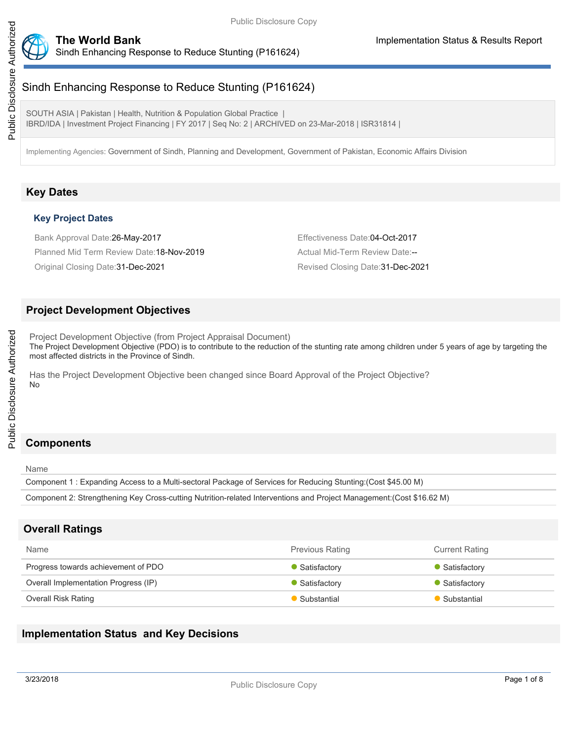

Sindh Enhancing Response to Reduce Stunting (P161624)

SOUTH ASIA | Pakistan | Health, Nutrition & Population Global Practice IBRD/IDA | Investment Project Financing | FY 2017 | Seq No: 2 | ARCHIVED on 23-Mar-2018 | ISR31814 |

Implementing Agencies: Government of Sindh, Planning and Development, Government of Pakistan, Economic Affairs Division

# **Key Dates**

# **Key Project Dates**

Bank Approval Date:26-May-2017 **Effectiveness Date:04-Oct-2017** Effectiveness Date:04-Oct-2017 Planned Mid Term Review Date:18-Nov-2019 Actual Mid-Term Review Date:--

Original Closing Date:31-Dec-2021 Revised Closing Date:31-Dec-2021

# **Project Development Objectives**

Project Development Objective (from Project Appraisal Document) The Project Development Objective (PDO) is to contribute to the reduction of the stunting rate among children under 5 years of age by targeting the most affected districts in the Province of Sindh.

Has the Project Development Objective been changed since Board Approval of the Project Objective? No

# **Components**

Name

Public Disclosure Authorized

Public Disclosure Authorized

Component 1 : Expanding Access to a Multi-sectoral Package of Services for Reducing Stunting:(Cost \$45.00 M)

Component 2: Strengthening Key Cross-cutting Nutrition-related Interventions and Project Management:(Cost \$16.62 M)

# **Overall Ratings**

| Name                                 | <b>Previous Rating</b> | <b>Current Rating</b> |
|--------------------------------------|------------------------|-----------------------|
| Progress towards achievement of PDO  | Satisfactory           | Satisfactory          |
| Overall Implementation Progress (IP) | Satisfactory           | Satisfactory          |
| Overall Risk Rating                  | Substantial            | Substantial           |

# **Implementation Status and Key Decisions**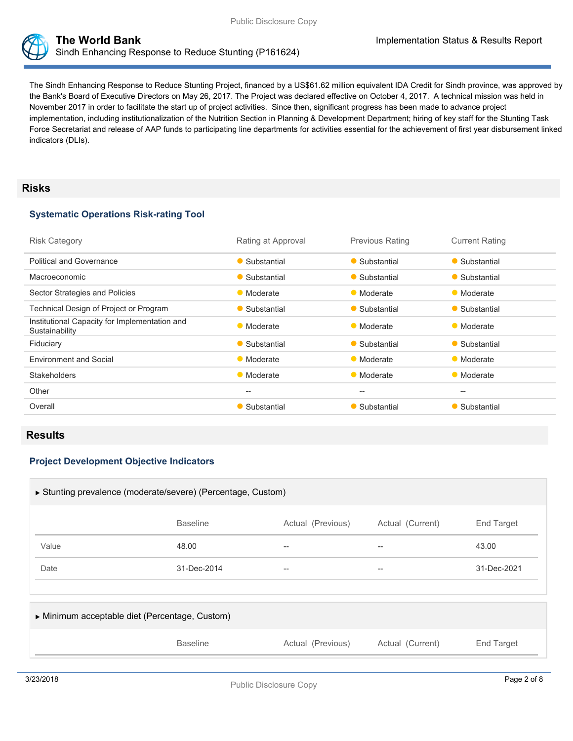



The Sindh Enhancing Response to Reduce Stunting Project, financed by a US\$61.62 million equivalent IDA Credit for Sindh province, was approved by the Bank's Board of Executive Directors on May 26, 2017. The Project was declared effective on October 4, 2017. A technical mission was held in November 2017 in order to facilitate the start up of project activities. Since then, significant progress has been made to advance project implementation, including institutionalization of the Nutrition Section in Planning & Development Department; hiring of key staff for the Stunting Task Force Secretariat and release of AAP funds to participating line departments for activities essential for the achievement of first year disbursement linked indicators (DLIs).

### **Risks**

#### **Systematic Operations Risk-rating Tool**

| <b>Risk Category</b>                                            | Rating at Approval                                  | <b>Previous Rating</b> | <b>Current Rating</b> |
|-----------------------------------------------------------------|-----------------------------------------------------|------------------------|-----------------------|
| <b>Political and Governance</b>                                 | • Substantial                                       | • Substantial          | • Substantial         |
| Macroeconomic                                                   | • Substantial                                       | • Substantial          | • Substantial         |
| Sector Strategies and Policies                                  | • Moderate                                          | • Moderate             | • Moderate            |
| Technical Design of Project or Program                          | • Substantial                                       | • Substantial          | • Substantial         |
| Institutional Capacity for Implementation and<br>Sustainability | • Moderate                                          | • Moderate             | • Moderate            |
| Fiduciary                                                       | • Substantial                                       | • Substantial          | • Substantial         |
| <b>Environment and Social</b>                                   | • Moderate                                          | • Moderate             | • Moderate            |
| <b>Stakeholders</b>                                             | • Moderate                                          | • Moderate             | • Moderate            |
| Other                                                           | $\hspace{0.05cm} -\hspace{0.05cm} -\hspace{0.05cm}$ | $-$                    | $- -$                 |
| Overall                                                         | • Substantial                                       | • Substantial          | • Substantial         |

## **Results**

### **Project Development Objective Indicators**

| ▶ Stunting prevalence (moderate/severe) (Percentage, Custom) |                 |                   |                  |             |  |
|--------------------------------------------------------------|-----------------|-------------------|------------------|-------------|--|
|                                                              | <b>Baseline</b> | Actual (Previous) | Actual (Current) | End Target  |  |
| Value                                                        | 48.00           | --                |                  | 43.00       |  |
| Date                                                         | 31-Dec-2014     | $- -$             |                  | 31-Dec-2021 |  |
|                                                              |                 |                   |                  |             |  |
| Minimum acceptable diet (Percentage, Custom)                 |                 |                   |                  |             |  |
|                                                              | <b>Baseline</b> | Actual (Previous) | Actual (Current) | End Target  |  |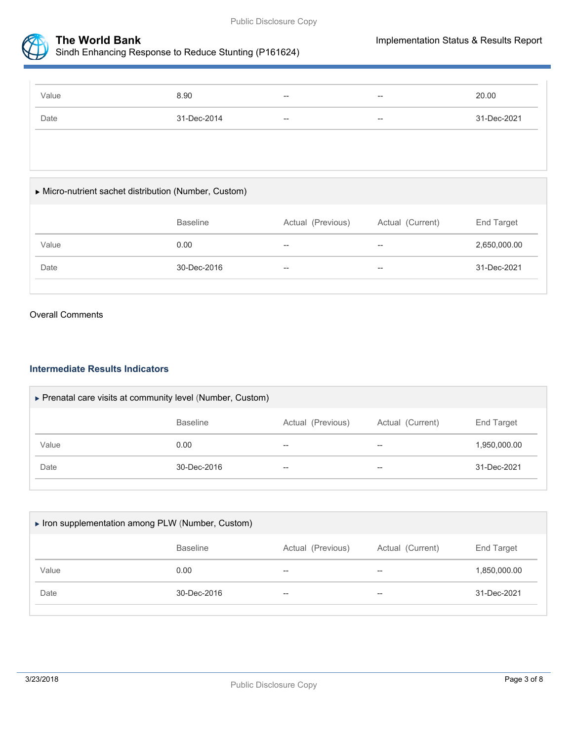



Sindh Enhancing Response to Reduce Stunting (P161624)

| Value | 8.90        | $- -$ | $\hspace{0.05cm}$ | 20.00       |
|-------|-------------|-------|-------------------|-------------|
| Date  | 31-Dec-2014 | $- -$ | $- -$             | 31-Dec-2021 |

# Micro-nutrient sachet distribution (Number, Custom)

|       | <b>Baseline</b> | Actual (Previous)                   | Actual (Current)  | End Target   |
|-------|-----------------|-------------------------------------|-------------------|--------------|
| Value | 0.00            | $\hspace{0.05cm}$ $\hspace{0.05cm}$ | $-$               | 2,650,000.00 |
| Date  | 30-Dec-2016     | $- -$                               | $\hspace{0.05cm}$ | 31-Dec-2021  |

#### Overall Comments

#### **Intermediate Results Indicators**

| ▶ Prenatal care visits at community level (Number, Custom) |                   |                          |                   |                   |  |
|------------------------------------------------------------|-------------------|--------------------------|-------------------|-------------------|--|
|                                                            | <b>Baseline</b>   | Actual (Previous)        | Actual (Current)  | <b>End Target</b> |  |
| Value                                                      | 0.00              | --                       | $\hspace{0.05cm}$ | 1,950,000.00      |  |
| Date                                                       | $30 - Dec - 2016$ | $\overline{\phantom{m}}$ | $\hspace{0.05cm}$ | 31-Dec-2021       |  |

|               |                 |                   |                          | Iron supplementation among PLW (Number, Custom) |  |  |  |  |  |
|---------------|-----------------|-------------------|--------------------------|-------------------------------------------------|--|--|--|--|--|
|               | <b>Baseline</b> | Actual (Previous) | Actual (Current)         | End Target                                      |  |  |  |  |  |
| Value<br>0.00 |                 | $- -$             | $\overline{\phantom{m}}$ | 1,850,000.00                                    |  |  |  |  |  |
| Date          | 30-Dec-2016     | $- -$             | $\overline{\phantom{m}}$ | 31-Dec-2021                                     |  |  |  |  |  |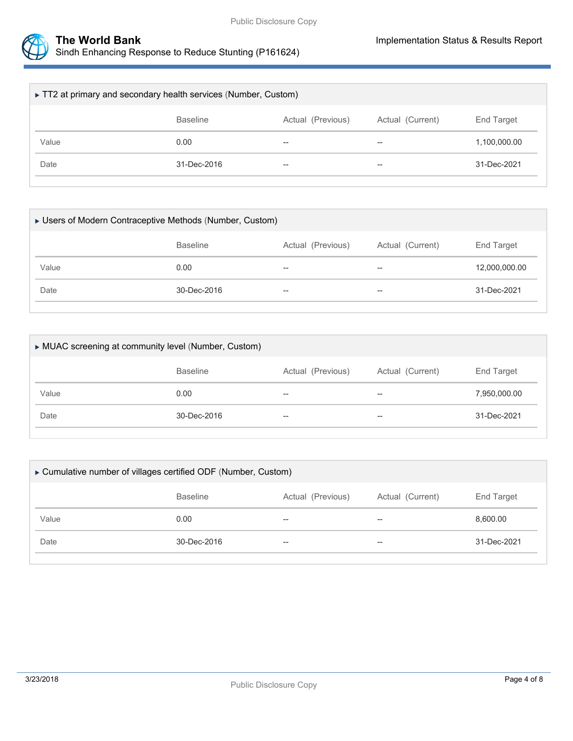



| ► TT2 at primary and secondary health services (Number, Custom)        |             |                          |                                                     |              |  |  |
|------------------------------------------------------------------------|-------------|--------------------------|-----------------------------------------------------|--------------|--|--|
| <b>Baseline</b><br>Actual (Previous)<br>Actual (Current)<br>End Target |             |                          |                                                     |              |  |  |
| Value                                                                  | 0.00        | $\overline{\phantom{m}}$ | $\hspace{0.05cm} -\hspace{0.05cm} -\hspace{0.05cm}$ | 1,100,000.00 |  |  |
| Date                                                                   | 31-Dec-2016 | $\overline{\phantom{m}}$ | $- -$                                               | 31-Dec-2021  |  |  |
|                                                                        |             |                          |                                                     |              |  |  |

| ► Users of Modern Contraceptive Methods (Number, Custom) |                 |                          |                  |               |  |
|----------------------------------------------------------|-----------------|--------------------------|------------------|---------------|--|
|                                                          | <b>Baseline</b> | Actual (Previous)        | Actual (Current) | End Target    |  |
| Value                                                    | 0.00            | $\overline{\phantom{a}}$ | --               | 12,000,000.00 |  |
| Date                                                     | 30-Dec-2016     | $\overline{\phantom{a}}$ | $- -$            | 31-Dec-2021   |  |
|                                                          |                 |                          |                  |               |  |

| MUAC screening at community level (Number, Custom) |                 |                   |                     |              |  |
|----------------------------------------------------|-----------------|-------------------|---------------------|--------------|--|
|                                                    | <b>Baseline</b> | Actual (Previous) | Actual (Current)    | End Target   |  |
| Value                                              | 0.00            | $- -$             | $\hspace{0.05cm} -$ | 7,950,000.00 |  |
| Date                                               | 30-Dec-2016     | $- -$             | $-$                 | 31-Dec-2021  |  |
|                                                    |                 |                   |                     |              |  |

| ► Cumulative number of villages certified ODF (Number, Custom)         |             |       |                          |             |  |
|------------------------------------------------------------------------|-------------|-------|--------------------------|-------------|--|
| Actual (Previous)<br>Actual (Current)<br>End Target<br><b>Baseline</b> |             |       |                          |             |  |
| Value                                                                  | 0.00        | $- -$ | $\overline{\phantom{m}}$ | 8,600.00    |  |
| Date                                                                   | 30-Dec-2016 | $- -$ | $-$                      | 31-Dec-2021 |  |
|                                                                        |             |       |                          |             |  |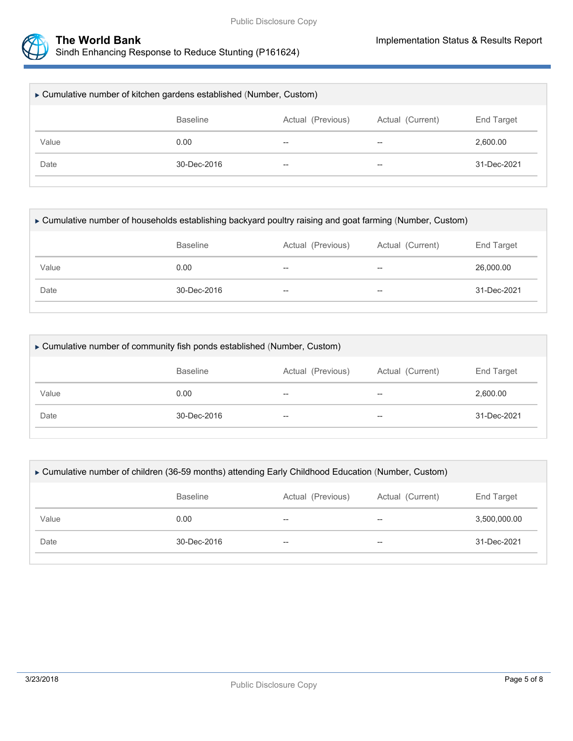

| ► Cumulative number of kitchen gardens established (Number, Custom)    |                   |       |       |             |  |
|------------------------------------------------------------------------|-------------------|-------|-------|-------------|--|
| <b>Baseline</b><br>Actual (Previous)<br>Actual (Current)<br>End Target |                   |       |       |             |  |
| Value                                                                  | 0.00              | $- -$ | $- -$ | 2,600.00    |  |
| Date                                                                   | $30 - Dec - 2016$ | $- -$ | $- -$ | 31-Dec-2021 |  |
|                                                                        |                   |       |       |             |  |

| ► Cumulative number of households establishing backyard poultry raising and goat farming (Number, Custom) |                                                          |                   |       |             |  |  |
|-----------------------------------------------------------------------------------------------------------|----------------------------------------------------------|-------------------|-------|-------------|--|--|
|                                                                                                           | <b>Baseline</b><br>Actual (Current)<br>Actual (Previous) |                   |       |             |  |  |
| Value                                                                                                     | 0.00                                                     | $- -$             | $-$   | 26,000,00   |  |  |
| Date                                                                                                      | $30 - Dec - 2016$                                        | $\hspace{0.05cm}$ | $- -$ | 31-Dec-2021 |  |  |
|                                                                                                           |                                                          |                   |       |             |  |  |

| ► Cumulative number of community fish ponds established (Number, Custom) |                 |                  |                   |             |  |
|--------------------------------------------------------------------------|-----------------|------------------|-------------------|-------------|--|
|                                                                          | <b>Baseline</b> | Actual (Current) | <b>End Target</b> |             |  |
| Value                                                                    | 0.00            | $- -$            | $-$               | 2.600.00    |  |
| Date                                                                     | 30-Dec-2016     | $- -$            | $- -$             | 31-Dec-2021 |  |
|                                                                          |                 |                  |                   |             |  |

| ► Cumulative number of children (36-59 months) attending Early Childhood Education (Number, Custom) |                   |       |       |              |  |  |
|-----------------------------------------------------------------------------------------------------|-------------------|-------|-------|--------------|--|--|
|                                                                                                     | End Target        |       |       |              |  |  |
| Value                                                                                               | 0.00              | $- -$ | $- -$ | 3,500,000.00 |  |  |
| Date                                                                                                | $30 - Dec - 2016$ | $- -$ | $-$   | 31-Dec-2021  |  |  |
|                                                                                                     |                   |       |       |              |  |  |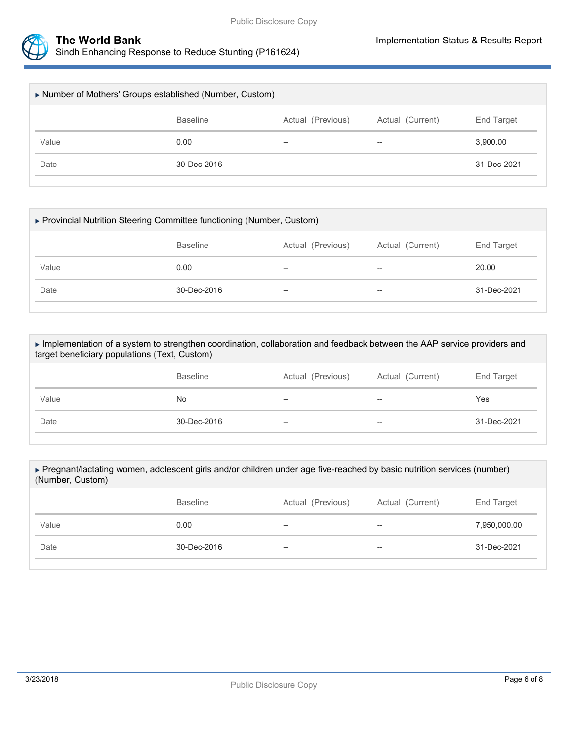



| Number of Mothers' Groups established (Number, Custom) |                 |                   |                  |             |  |
|--------------------------------------------------------|-----------------|-------------------|------------------|-------------|--|
|                                                        | <b>Baseline</b> | Actual (Previous) | Actual (Current) | End Target  |  |
| Value                                                  | 0.00            | --                | $- -$            | 3,900.00    |  |
| Date                                                   | 30-Dec-2016     | --                | $- -$            | 31-Dec-2021 |  |
|                                                        |                 |                   |                  |             |  |

| ▶ Provincial Nutrition Steering Committee functioning (Number, Custom) |                          |       |             |  |  |
|------------------------------------------------------------------------|--------------------------|-------|-------------|--|--|
| <b>Baseline</b><br>Actual (Current)<br>Actual (Previous)               |                          |       |             |  |  |
| 0.00                                                                   | $\overline{\phantom{m}}$ | $- -$ | 20.00       |  |  |
| 30-Dec-2016                                                            | $\overline{\phantom{m}}$ | $- -$ | 31-Dec-2021 |  |  |
|                                                                        |                          |       |             |  |  |

 Implementation of a system to strengthen coordination, collaboration and feedback between the AAP service providers and target beneficiary populations (Text, Custom)

|       | <b>Baseline</b> | Actual (Previous)        | Actual (Current)                    | End Target  |
|-------|-----------------|--------------------------|-------------------------------------|-------------|
| Value | No.             | $-\!$                    | $- -$                               | Yes         |
| Date  | 30-Dec-2016     | $\overline{\phantom{m}}$ | $\hspace{0.05cm}$ $\hspace{0.05cm}$ | 31-Dec-2021 |

| ► Pregnant/lactating women, adolescent girls and/or children under age five-reached by basic nutrition services (number)<br>(Number, Custom) |                                                          |    |       |              |  |  |  |
|----------------------------------------------------------------------------------------------------------------------------------------------|----------------------------------------------------------|----|-------|--------------|--|--|--|
|                                                                                                                                              | <b>Baseline</b><br>Actual (Previous)<br>Actual (Current) |    |       |              |  |  |  |
| Value                                                                                                                                        | 0.00                                                     | -- | $- -$ | 7,950,000.00 |  |  |  |
| Date                                                                                                                                         | $30 - Dec - 2016$<br>--<br>$- -$                         |    |       |              |  |  |  |
|                                                                                                                                              |                                                          |    |       |              |  |  |  |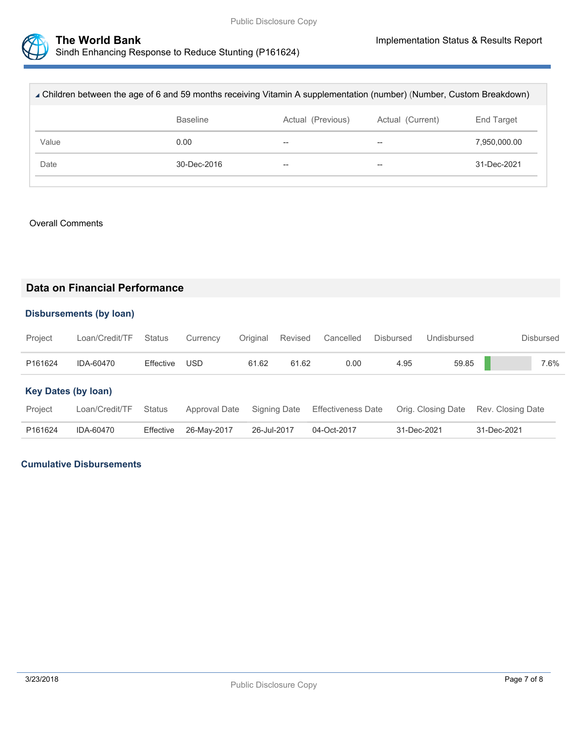

| ∡ Children between the age of 6 and 59 months receiving Vitamin A supplementation (number) (Number, Custom Breakdown) |                                                          |    |                          |              |  |  |
|-----------------------------------------------------------------------------------------------------------------------|----------------------------------------------------------|----|--------------------------|--------------|--|--|
|                                                                                                                       | <b>Baseline</b><br>Actual (Previous)<br>Actual (Current) |    |                          |              |  |  |
| Value                                                                                                                 | 0.00                                                     | -- | $\overline{\phantom{m}}$ | 7,950,000.00 |  |  |
| Date                                                                                                                  | 30-Dec-2016                                              | -- | $- -$                    | 31-Dec-2021  |  |  |
|                                                                                                                       |                                                          |    |                          |              |  |  |

#### Overall Comments

# **Data on Financial Performance**

#### **Disbursements (by loan)**

| Project | Loan/Credit/TF Status Currency Original Revised Cancelled Disbursed Undisbursed |               |       |       |      |      |       | Disbursed |
|---------|---------------------------------------------------------------------------------|---------------|-------|-------|------|------|-------|-----------|
| P161624 | IDA-60470                                                                       | Effective USD | 61.62 | 61.62 | 0.00 | 4.95 | 59.85 | 7.6%      |

#### **Key Dates (by loan)**

| Project | Loan/Credit/TF Status |                       |             | Approval Date Signing Date Effectiveness Date Orig. Closing Date Rev. Closing Date |             |             |
|---------|-----------------------|-----------------------|-------------|------------------------------------------------------------------------------------|-------------|-------------|
| P161624 | IDA-60470             | Effective 26-May-2017 | 26-Jul-2017 | 04-Oct-2017                                                                        | 31-Dec-2021 | 31-Dec-2021 |

## **Cumulative Disbursements**